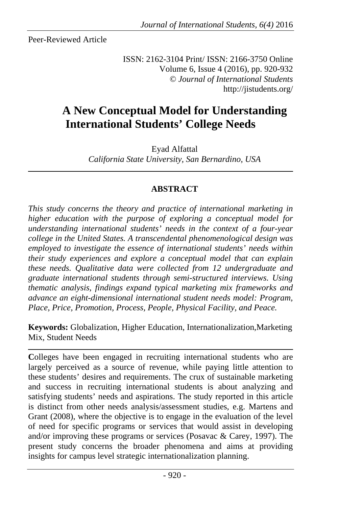Peer-Reviewed Article

ISSN: 2162-3104 Print/ ISSN: 2166-3750 Online Volume 6, Issue 4 (2016), pp. 920-932 © *Journal of International Students* http://jistudents.org/

# **A New Conceptual Model for Understanding International Students' College Needs**

Eyad Alfattal

*California State University, San Bernardino, USA*

# **ABSTRACT**

*This study concerns the theory and practice of international marketing in higher education with the purpose of exploring a conceptual model for understanding international students' needs in the context of a four-year college in the United States. A transcendental phenomenological design was employed to investigate the essence of international students' needs within their study experiences and explore a conceptual model that can explain these needs. Qualitative data were collected from 12 undergraduate and graduate international students through semi-structured interviews. Using thematic analysis, findings expand typical marketing mix frameworks and advance an eight-dimensional international student needs model: Program, Place, Price, Promotion, Process, People, Physical Facility, and Peace.* 

**Keywords:** Globalization, Higher Education, Internationalization,Marketing Mix, Student Needs

**C**olleges have been engaged in recruiting international students who are largely perceived as a source of revenue, while paying little attention to these students' desires and requirements. The crux of sustainable marketing and success in recruiting international students is about analyzing and satisfying students' needs and aspirations. The study reported in this article is distinct from other needs analysis/assessment studies, e.g. Martens and Grant (2008), where the objective is to engage in the evaluation of the level of need for specific programs or services that would assist in developing and/or improving these programs or services (Posavac & Carey, 1997). The present study concerns the broader phenomena and aims at providing insights for campus level strategic internationalization planning.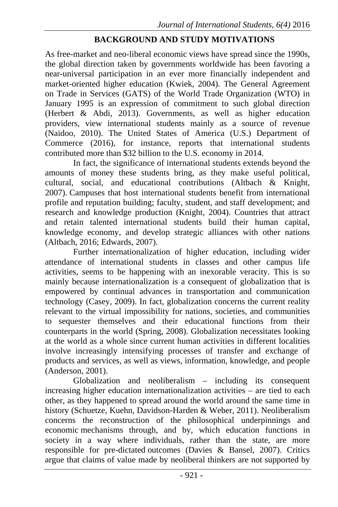## **BACKGROUND AND STUDY MOTIVATIONS**

As free-market and neo-liberal economic views have spread since the 1990s, the global direction taken by governments worldwide has been favoring a near-universal participation in an ever more financially independent and market-oriented higher education (Kwiek, 2004). The General Agreement on Trade in Services (GATS) of the World Trade Organization (WTO) in January 1995 is an expression of commitment to such global direction (Herbert & Abdi, 2013). Governments, as well as higher education providers, view international students mainly as a source of revenue (Naidoo, 2010). The United States of America (U.S.) Department of Commerce (2016), for instance, reports that international students contributed more than \$32 billion to the U.S. economy in 2014.

In fact, the significance of international students extends beyond the amounts of money these students bring, as they make useful political, cultural, social, and educational contributions (Altbach & Knight, 2007). Campuses that host international students benefit from international profile and reputation building; faculty, student, and staff development; and research and knowledge production (Knight, 2004). Countries that attract and retain talented international students build their human capital, knowledge economy, and develop strategic alliances with other nations (Altbach, 2016; Edwards, 2007).

Further internationalization of higher education, including wider attendance of international students in classes and other campus life activities, seems to be happening with an inexorable veracity. This is so mainly because internationalization is a consequent of globalization that is empowered by continual advances in transportation and communication technology (Casey, 2009). In fact, globalization concerns the current reality relevant to the virtual impossibility for nations, societies, and communities to sequester themselves and their educational functions from their counterparts in the world (Spring, 2008). Globalization necessitates looking at the world as a whole since current human activities in different localities involve increasingly intensifying processes of transfer and exchange of products and services, as well as views, information, knowledge, and people (Anderson, 2001).

Globalization and neoliberalism – including its consequent increasing higher education internationalization activities – are tied to each other, as they happened to spread around the world around the same time in history (Schuetze, Kuehn, Davidson-Harden & Weber, 2011). Neoliberalism concerns the reconstruction of the philosophical underpinnings and economic mechanisms through, and by, which education functions in society in a way where individuals, rather than the state, are more responsible for pre-dictated outcomes (Davies & Bansel, 2007). Critics argue that claims of value made by neoliberal thinkers are not supported by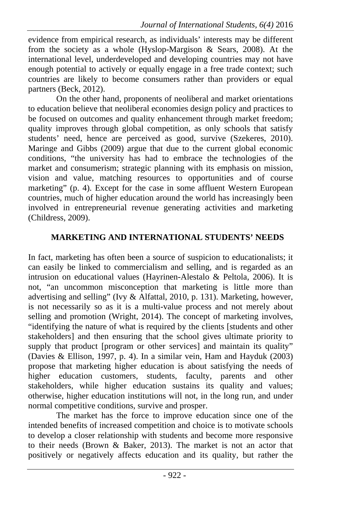evidence from empirical research, as individuals' interests may be different from the society as a whole (Hyslop-Margison & Sears, 2008). At the international level, underdeveloped and developing countries may not have enough potential to actively or equally engage in a free trade context; such countries are likely to become consumers rather than providers or equal partners (Beck, 2012).

On the other hand, proponents of neoliberal and market orientations to education believe that neoliberal economies design policy and practices to be focused on outcomes and quality enhancement through market freedom; quality improves through global competition, as only schools that satisfy students' need, hence are perceived as good, survive (Szekeres, 2010). Maringe and Gibbs (2009) argue that due to the current global economic conditions, "the university has had to embrace the technologies of the market and consumerism; strategic planning with its emphasis on mission, vision and value, matching resources to opportunities and of course marketing" (p. 4). Except for the case in some affluent Western European countries, much of higher education around the world has increasingly been involved in entrepreneurial revenue generating activities and marketing (Childress, 2009).

# **MARKETING AND INTERNATIONAL STUDENTS' NEEDS**

In fact, marketing has often been a source of suspicion to educationalists; it can easily be linked to commercialism and selling, and is regarded as an intrusion on educational values (Hayrinen-Alestalo & Peltola, 2006). It is not, "an uncommon misconception that marketing is little more than advertising and selling" (Ivy & Alfattal, 2010, p. 131). Marketing, however, is not necessarily so as it is a multi-value process and not merely about selling and promotion (Wright, 2014). The concept of marketing involves, "identifying the nature of what is required by the clients [students and other stakeholders] and then ensuring that the school gives ultimate priority to supply that product [program or other services] and maintain its quality" (Davies & Ellison, 1997, p. 4). In a similar vein, Ham and Hayduk (2003) propose that marketing higher education is about satisfying the needs of higher education customers, students, faculty, parents and other stakeholders, while higher education sustains its quality and values; otherwise, higher education institutions will not, in the long run, and under normal competitive conditions, survive and prosper.

The market has the force to improve education since one of the intended benefits of increased competition and choice is to motivate schools to develop a closer relationship with students and become more responsive to their needs (Brown & Baker, 2013). The market is not an actor that positively or negatively affects education and its quality, but rather the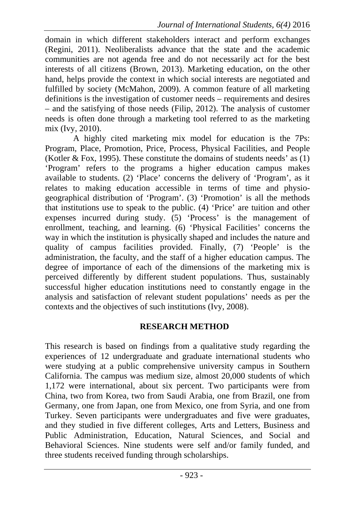domain in which different stakeholders interact and perform exchanges (Regini, 2011). Neoliberalists advance that the state and the academic communities are not agenda free and do not necessarily act for the best interests of all citizens (Brown, 2013). Marketing education, on the other hand, helps provide the context in which social interests are negotiated and fulfilled by society (McMahon, 2009). A common feature of all marketing definitions is the investigation of customer needs – requirements and desires – and the satisfying of those needs (Filip, 2012). The analysis of customer needs is often done through a marketing tool referred to as the marketing mix (Ivy, 2010).

A highly cited marketing mix model for education is the 7Ps: Program, Place, Promotion, Price, Process, Physical Facilities, and People (Kotler & Fox, 1995). These constitute the domains of students needs' as (1) 'Program' refers to the programs a higher education campus makes available to students. (2) 'Place' concerns the delivery of 'Program', as it relates to making education accessible in terms of time and physiogeographical distribution of 'Program'. (3) 'Promotion' is all the methods that institutions use to speak to the public. (4) 'Price' are tuition and other expenses incurred during study. (5) 'Process' is the management of enrollment, teaching, and learning. (6) 'Physical Facilities' concerns the way in which the institution is physically shaped and includes the nature and quality of campus facilities provided. Finally, (7) 'People' is the administration, the faculty, and the staff of a higher education campus. The degree of importance of each of the dimensions of the marketing mix is perceived differently by different student populations. Thus, sustainably successful higher education institutions need to constantly engage in the analysis and satisfaction of relevant student populations' needs as per the contexts and the objectives of such institutions (Ivy, 2008).

#### **RESEARCH METHOD**

This research is based on findings from a qualitative study regarding the experiences of 12 undergraduate and graduate international students who were studying at a public comprehensive university campus in Southern California. The campus was medium size, almost 20,000 students of which 1,172 were international, about six percent. Two participants were from China, two from Korea, two from Saudi Arabia, one from Brazil, one from Germany, one from Japan, one from Mexico, one from Syria, and one from Turkey. Seven participants were undergraduates and five were graduates, and they studied in five different colleges, Arts and Letters, Business and Public Administration, Education, Natural Sciences, and Social and Behavioral Sciences. Nine students were self and/or family funded, and three students received funding through scholarships.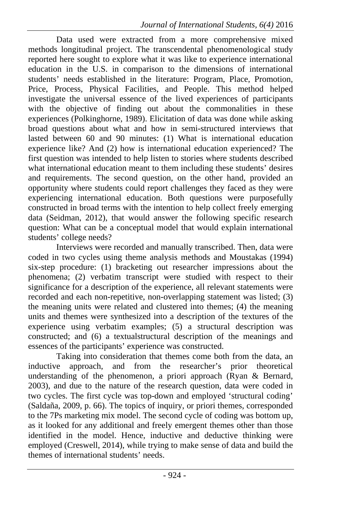Data used were extracted from a more comprehensive mixed methods longitudinal project. The transcendental phenomenological study reported here sought to explore what it was like to experience international education in the U.S. in comparison to the dimensions of international students' needs established in the literature: Program, Place, Promotion, Price, Process, Physical Facilities, and People. This method helped investigate the universal essence of the lived experiences of participants with the objective of finding out about the commonalities in these experiences (Polkinghorne, 1989). Elicitation of data was done while asking broad questions about what and how in semi-structured interviews that lasted between 60 and 90 minutes: (1) What is international education experience like? And (2) how is international education experienced? The first question was intended to help listen to stories where students described what international education meant to them including these students' desires and requirements. The second question, on the other hand, provided an opportunity where students could report challenges they faced as they were experiencing international education. Both questions were purposefully constructed in broad terms with the intention to help collect freely emerging data (Seidman, 2012), that would answer the following specific research question: What can be a conceptual model that would explain international students' college needs?

Interviews were recorded and manually transcribed. Then, data were coded in two cycles using theme analysis methods and Moustakas (1994) six-step procedure: (1) bracketing out researcher impressions about the phenomena; (2) verbatim transcript were studied with respect to their significance for a description of the experience, all relevant statements were recorded and each non-repetitive, non-overlapping statement was listed; (3) the meaning units were related and clustered into themes; (4) the meaning units and themes were synthesized into a description of the textures of the experience using verbatim examples; (5) a structural description was constructed; and (6) a textualstructural description of the meanings and essences of the participants' experience was constructed.

Taking into consideration that themes come both from the data, an inductive approach, and from the researcher's prior theoretical understanding of the phenomenon, a priori approach (Ryan & Bernard, 2003), and due to the nature of the research question, data were coded in two cycles. The first cycle was top-down and employed 'structural coding' (Saldaña, 2009, p. 66). The topics of inquiry, or priori themes, corresponded to the 7Ps marketing mix model. The second cycle of coding was bottom up, as it looked for any additional and freely emergent themes other than those identified in the model. Hence, inductive and deductive thinking were employed (Creswell, 2014), while trying to make sense of data and build the themes of international students' needs.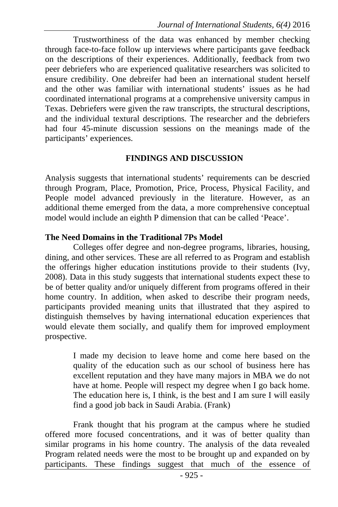Trustworthiness of the data was enhanced by member checking through face-to-face follow up interviews where participants gave feedback on the descriptions of their experiences. Additionally, feedback from two peer debriefers who are experienced qualitative researchers was solicited to ensure credibility. One debreifer had been an international student herself and the other was familiar with international students' issues as he had coordinated international programs at a comprehensive university campus in Texas. Debriefers were given the raw transcripts, the structural descriptions, and the individual textural descriptions. The researcher and the debriefers had four 45-minute discussion sessions on the meanings made of the participants' experiences.

#### **FINDINGS AND DISCUSSION**

Analysis suggests that international students' requirements can be descried through Program, Place, Promotion, Price, Process, Physical Facility, and People model advanced previously in the literature. However, as an additional theme emerged from the data, a more comprehensive conceptual model would include an eighth P dimension that can be called 'Peace'.

#### **The Need Domains in the Traditional 7Ps Model**

Colleges offer degree and non-degree programs, libraries, housing, dining, and other services. These are all referred to as Program and establish the offerings higher education institutions provide to their students (Ivy, 2008). Data in this study suggests that international students expect these to be of better quality and/or uniquely different from programs offered in their home country. In addition, when asked to describe their program needs, participants provided meaning units that illustrated that they aspired to distinguish themselves by having international education experiences that would elevate them socially, and qualify them for improved employment prospective.

> I made my decision to leave home and come here based on the quality of the education such as our school of business here has excellent reputation and they have many majors in MBA we do not have at home. People will respect my degree when I go back home. The education here is, I think, is the best and I am sure I will easily find a good job back in Saudi Arabia. (Frank)

Frank thought that his program at the campus where he studied offered more focused concentrations, and it was of better quality than similar programs in his home country. The analysis of the data revealed Program related needs were the most to be brought up and expanded on by participants. These findings suggest that much of the essence of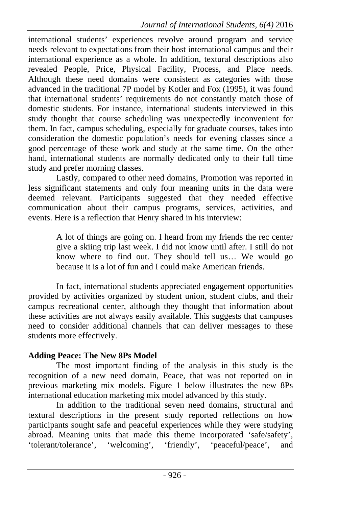international students' experiences revolve around program and service needs relevant to expectations from their host international campus and their international experience as a whole. In addition, textural descriptions also revealed People, Price, Physical Facility, Process, and Place needs. Although these need domains were consistent as categories with those advanced in the traditional 7P model by Kotler and Fox (1995), it was found that international students' requirements do not constantly match those of domestic students. For instance, international students interviewed in this study thought that course scheduling was unexpectedly inconvenient for them. In fact, campus scheduling, especially for graduate courses, takes into consideration the domestic population's needs for evening classes since a good percentage of these work and study at the same time. On the other hand, international students are normally dedicated only to their full time study and prefer morning classes.

Lastly, compared to other need domains, Promotion was reported in less significant statements and only four meaning units in the data were deemed relevant. Participants suggested that they needed effective communication about their campus programs, services, activities, and events. Here is a reflection that Henry shared in his interview:

> A lot of things are going on. I heard from my friends the rec center give a skiing trip last week. I did not know until after. I still do not know where to find out. They should tell us… We would go because it is a lot of fun and I could make American friends.

In fact, international students appreciated engagement opportunities provided by activities organized by student union, student clubs, and their campus recreational center, although they thought that information about these activities are not always easily available. This suggests that campuses need to consider additional channels that can deliver messages to these students more effectively.

### **Adding Peace: The New 8Ps Model**

The most important finding of the analysis in this study is the recognition of a new need domain, Peace, that was not reported on in previous marketing mix models. Figure 1 below illustrates the new 8Ps international education marketing mix model advanced by this study.

In addition to the traditional seven need domains, structural and textural descriptions in the present study reported reflections on how participants sought safe and peaceful experiences while they were studying abroad. Meaning units that made this theme incorporated 'safe/safety', 'tolerant/tolerance', 'welcoming', 'friendly', 'peaceful/peace', and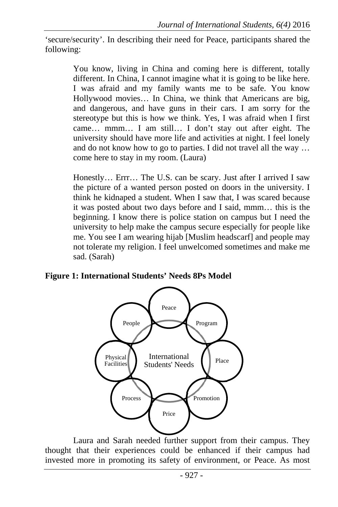'secure/security'. In describing their need for Peace, participants shared the following:

> You know, living in China and coming here is different, totally different. In China, I cannot imagine what it is going to be like here. I was afraid and my family wants me to be safe. You know Hollywood movies… In China, we think that Americans are big, and dangerous, and have guns in their cars. I am sorry for the stereotype but this is how we think. Yes, I was afraid when I first came… mmm… I am still… I don't stay out after eight. The university should have more life and activities at night. I feel lonely and do not know how to go to parties. I did not travel all the way … come here to stay in my room. (Laura)

> Honestly… Errr… The U.S. can be scary. Just after I arrived I saw the picture of a wanted person posted on doors in the university. I think he kidnaped a student. When I saw that, I was scared because it was posted about two days before and I said, mmm… this is the beginning. I know there is police station on campus but I need the university to help make the campus secure especially for people like me. You see I am wearing hijab [Muslim headscarf] and people may not tolerate my religion. I feel unwelcomed sometimes and make me sad. (Sarah)

**Figure 1: International Students' Needs 8Ps Model** 



Laura and Sarah needed further support from their campus. They thought that their experiences could be enhanced if their campus had invested more in promoting its safety of environment, or Peace. As most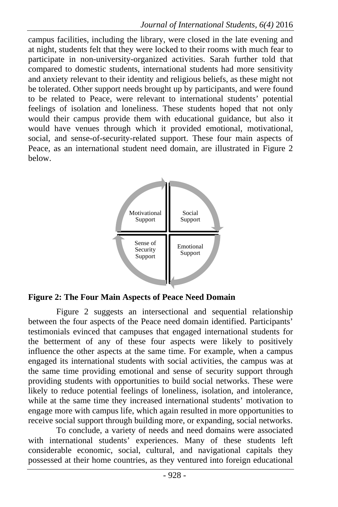campus facilities, including the library, were closed in the late evening and at night, students felt that they were locked to their rooms with much fear to participate in non-university-organized activities. Sarah further told that compared to domestic students, international students had more sensitivity and anxiety relevant to their identity and religious beliefs, as these might not be tolerated. Other support needs brought up by participants, and were found to be related to Peace, were relevant to international students' potential feelings of isolation and loneliness. These students hoped that not only would their campus provide them with educational guidance, but also it would have venues through which it provided emotional, motivational, social, and sense-of-security-related support. These four main aspects of Peace, as an international student need domain, are illustrated in Figure 2 below.



**Figure 2: The Four Main Aspects of Peace Need Domain**

Figure 2 suggests an intersectional and sequential relationship between the four aspects of the Peace need domain identified. Participants' testimonials evinced that campuses that engaged international students for the betterment of any of these four aspects were likely to positively influence the other aspects at the same time. For example, when a campus engaged its international students with social activities, the campus was at the same time providing emotional and sense of security support through providing students with opportunities to build social networks. These were likely to reduce potential feelings of loneliness, isolation, and intolerance, while at the same time they increased international students' motivation to engage more with campus life, which again resulted in more opportunities to receive social support through building more, or expanding, social networks.

To conclude, a variety of needs and need domains were associated with international students' experiences. Many of these students left considerable economic, social, cultural, and navigational capitals they possessed at their home countries, as they ventured into foreign educational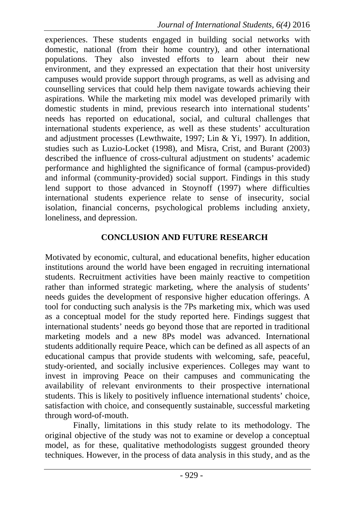experiences. These students engaged in building social networks with domestic, national (from their home country), and other international populations. They also invested efforts to learn about their new environment, and they expressed an expectation that their host university campuses would provide support through programs, as well as advising and counselling services that could help them navigate towards achieving their aspirations. While the marketing mix model was developed primarily with domestic students in mind, previous research into international students' needs has reported on educational, social, and cultural challenges that international students experience, as well as these students' acculturation and adjustment processes (Lewthwaite, 1997; Lin & Yi, 1997). In addition, studies such as Luzio-Locket (1998), and Misra, Crist, and Burant (2003) described the influence of cross-cultural adjustment on students' academic performance and highlighted the significance of formal (campus-provided) and informal (community-provided) social support. Findings in this study lend support to those advanced in Stoynoff (1997) where difficulties international students experience relate to sense of insecurity, social isolation, financial concerns, psychological problems including anxiety, loneliness, and depression.

### **CONCLUSION AND FUTURE RESEARCH**

Motivated by economic, cultural, and educational benefits, higher education institutions around the world have been engaged in recruiting international students. Recruitment activities have been mainly reactive to competition rather than informed strategic marketing, where the analysis of students' needs guides the development of responsive higher education offerings. A tool for conducting such analysis is the 7Ps marketing mix, which was used as a conceptual model for the study reported here. Findings suggest that international students' needs go beyond those that are reported in traditional marketing models and a new 8Ps model was advanced. International students additionally require Peace, which can be defined as all aspects of an educational campus that provide students with welcoming, safe, peaceful, study-oriented, and socially inclusive experiences. Colleges may want to invest in improving Peace on their campuses and communicating the availability of relevant environments to their prospective international students. This is likely to positively influence international students' choice, satisfaction with choice, and consequently sustainable, successful marketing through word-of-mouth.

Finally, limitations in this study relate to its methodology. The original objective of the study was not to examine or develop a conceptual model, as for these, qualitative methodologists suggest grounded theory techniques. However, in the process of data analysis in this study, and as the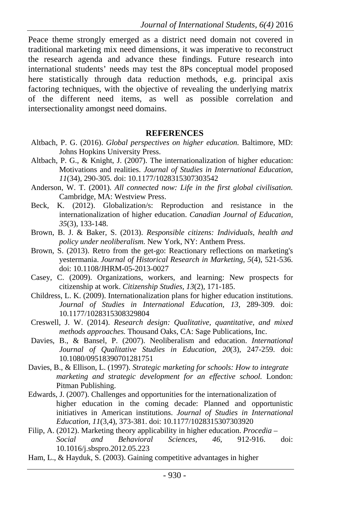Peace theme strongly emerged as a district need domain not covered in traditional marketing mix need dimensions, it was imperative to reconstruct the research agenda and advance these findings. Future research into international students' needs may test the 8Ps conceptual model proposed here statistically through data reduction methods, e.g. principal axis factoring techniques, with the objective of revealing the underlying matrix of the different need items, as well as possible correlation and intersectionality amongst need domains.

#### **REFERENCES**

- Altbach, P. G. (2016). *Global perspectives on higher education.* Baltimore, MD: Johns Hopkins University Press.
- Altbach, P. G., & Knight, J. (2007). The internationalization of higher education: Motivations and realities. *Journal of Studies in International Education, 11*(34), 290-305. doi: 10.1177/1028315307303542
- Anderson, W. T. (2001). *All connected now: Life in the first global civilisation.* Cambridge, MA: Westview Press.
- Beck, K. (2012). Globalization/s: Reproduction and resistance in the internationalization of higher education. *Canadian Journal of Education, 35*(3)*,* 133-148.
- Brown, B. J. & Baker, S. (2013). *Responsible citizens: Individuals, health and policy under neoliberalism.* New York, NY: Anthem Press.
- Brown, S. (2013). Retro from the get-go: Reactionary reflections on marketing's yestermania. *Journal of Historical Research in Marketing, 5*(4), 521-536. doi: 10.1108/JHRM-05-2013-0027
- Casey, C. (2009). Organizations, workers, and learning: New prospects for citizenship at work. *Citizenship Studies, 13*(2)*,* 171-185.
- Childress, L. K. (2009). Internationalization plans for higher education institutions. *Journal of Studies in International Education, 13,* 289-309. doi: 10.1177/1028315308329804
- Creswell, J. W. (2014). *Research design: Qualitative, quantitative, and mixed methods approaches.* Thousand Oaks, CA: Sage Publications, Inc.
- Davies, B., & Bansel, P. (2007). Neoliberalism and education. *International Journal of Qualitative Studies in Education, 20*(3), 247-259. doi: 10.1080/09518390701281751
- Davies, B., & Ellison, L. (1997). *Strategic marketing for schools: How to integrate marketing and strategic development for an effective school.* London: Pitman Publishing.
- Edwards, J. (2007). Challenges and opportunities for the internationalization of higher education in the coming decade: Planned and opportunistic initiatives in American institutions. *Journal of Studies in International Education, 11*(3,4)*,* 373-381. doi: 10.1177/1028315307303920
- Filip, A. (2012). Marketing theory applicability in higher education. *Procedia Social and Behavioral Sciences, 46*, 912-916. doi: 10.1016/j.sbspro.2012.05.223
- Ham, L., & Hayduk, S. (2003). Gaining competitive advantages in higher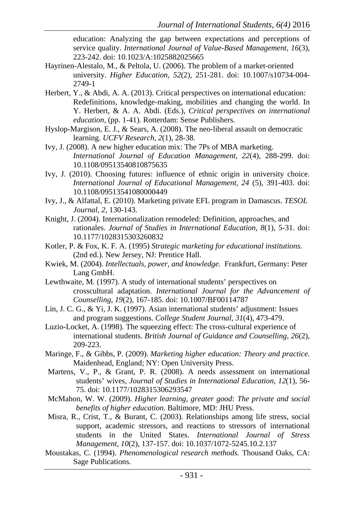education: Analyzing the gap between expectations and perceptions of service quality. *International Journal of Value-Based Management, 16*(3), 223-242. doi: 10.1023/A:1025882025665

- Hayrinen-Alestalo, M., & Peltola, U. (2006). The problem of a market-oriented university. *Higher Education, 52*(2), 251-281. doi: 10.1007/s10734-004- 2749-1
- Herbert, Y., & Abdi, A. A. (2013). Critical perspectives on international education: Redefinitions, knowledge-making, mobilities and changing the world. In Y. Herbert, & A. A. Abdi. (Eds.), *Critical perspectives on international education,* (pp. 1-41)*.* Rotterdam: Sense Publishers.
- Hyslop-Margison, E. J., & Sears, A. (2008). The neo-liberal assault on democratic learning. *UCFV Research, 2*(1), 28-38.
- Ivy, J. (2008). A new higher education mix: The 7Ps of MBA marketing. *International Journal of Education Management, 22*(4), 288-299. doi: 10.1108/09513540810875635
- Ivy, J. (2010). Choosing futures: influence of ethnic origin in university choice. *International Journal of Educational Management, 24* (5), 391-403. doi: 10.1108/09513541080000449
- Ivy, J., & Alfattal, E. (2010). Marketing private EFL program in Damascus. *TESOL Journal, 2,* 130-143.
- Knight, J. (2004). Internationalization remodeled: Definition, approaches, and rationales. *Journal of Studies in International Education, 8*(1), 5-31. doi: 10.1177/1028315303260832
- Kotler, P. & Fox, K. F. A. (1995) *Strategic marketing for educational institutions.* (2nd ed.). New Jersey, NJ: Prentice Hall.
- Kwiek, M. (2004). *Intellectuals, power, and knowledge.* Frankfurt, Germany: Peter Lang GmbH.
- Lewthwaite, M. (1997). A study of international students' perspectives on crosscultural adaptation. *International Journal for the Advancement of Counselling, 19*(2), 167-185. doi: 10.1007/BF00114787
- Lin, J. C. G., & Yi, J. K. (1997). Asian international students' adjustment: Issues and program suggestions. *College Student Journal, 31*(4), 473-479.
- Luzio-Locket, A. (1998). The squeezing effect: The cross-cultural experience of international students. *British Journal of Guidance and Counselling, 26*(2), 209-223.
- Maringe, F., & Gibbs, P. (2009). *Marketing higher education: Theory and practice.* Maidenhead, England; NY: Open University Press.
- Martens, V., P., & Grant, P. R. (2008). A needs assessment on international students' wives, *Journal of Studies in International Education, 12*(1), 56- 75. doi: 10.1177/1028315306293547
- McMahon, W. W. (2009). *Higher learning, greater good: The private and social benefits of higher education.* Baltimore, MD: JHU Press.
- Misra, R., Crist, T., & Burant, C. (2003). Relationships among life stress, social support, academic stressors, and reactions to stressors of international students in the United States. *International Journal of Stress Management, 10*(2), 137-157. doi: 10.1037/1072-5245.10.2.137
- Moustakas, C. (1994). *Phenomenological research methods.* Thousand Oaks, CA: Sage Publications.